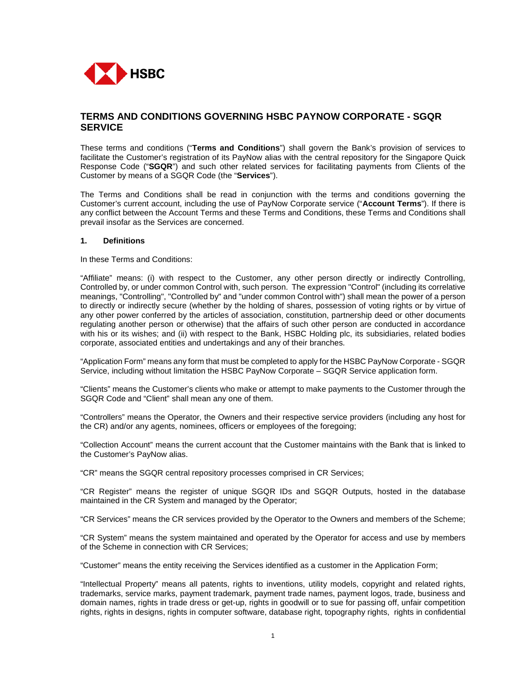

# **TERMS AND CONDITIONS GOVERNING HSBC PAYNOW CORPORATE - SGQR SERVICE**

These terms and conditions ("**Terms and Conditions**") shall govern the Bank's provision of services to facilitate the Customer's registration of its PayNow alias with the central repository for the Singapore Quick Response Code ("**SGQR**") and such other related services for facilitating payments from Clients of the Customer by means of a SGQR Code (the "**Services**").

The Terms and Conditions shall be read in conjunction with the terms and conditions governing the Customer's current account, including the use of PayNow Corporate service ("**Account Terms**"). If there is any conflict between the Account Terms and these Terms and Conditions, these Terms and Conditions shall prevail insofar as the Services are concerned.

#### **1. Definitions**

In these Terms and Conditions:

"Affiliate" means: (i) with respect to the Customer, any other person directly or indirectly Controlling, Controlled by, or under common Control with, such person. The expression "Control" (including its correlative meanings, "Controlling", "Controlled by" and "under common Control with") shall mean the power of a person to directly or indirectly secure (whether by the holding of shares, possession of voting rights or by virtue of any other power conferred by the articles of association, constitution, partnership deed or other documents regulating another person or otherwise) that the affairs of such other person are conducted in accordance with his or its wishes; and (ii) with respect to the Bank, HSBC Holding plc, its subsidiaries, related bodies corporate, associated entities and undertakings and any of their branches.

"Application Form" means any form that must be completed to apply for the HSBC PayNow Corporate - SGQR Service, including without limitation the HSBC PayNow Corporate – SGQR Service application form.

"Clients" means the Customer's clients who make or attempt to make payments to the Customer through the SGQR Code and "Client" shall mean any one of them.

"Controllers" means the Operator, the Owners and their respective service providers (including any host for the CR) and/or any agents, nominees, officers or employees of the foregoing;

"Collection Account" means the current account that the Customer maintains with the Bank that is linked to the Customer's PayNow alias.

"CR" means the SGQR central repository processes comprised in CR Services;

"CR Register" means the register of unique SGQR IDs and SGQR Outputs, hosted in the database maintained in the CR System and managed by the Operator;

"CR Services" means the CR services provided by the Operator to the Owners and members of the Scheme;

"CR System" means the system maintained and operated by the Operator for access and use by members of the Scheme in connection with CR Services;

"Customer" means the entity receiving the Services identified as a customer in the Application Form;

"Intellectual Property" means all patents, rights to inventions, utility models, copyright and related rights, trademarks, service marks, payment trademark, payment trade names, payment logos, trade, business and domain names, rights in trade dress or get-up, rights in goodwill or to sue for passing off, unfair competition rights, rights in designs, rights in computer software, database right, topography rights, rights in confidential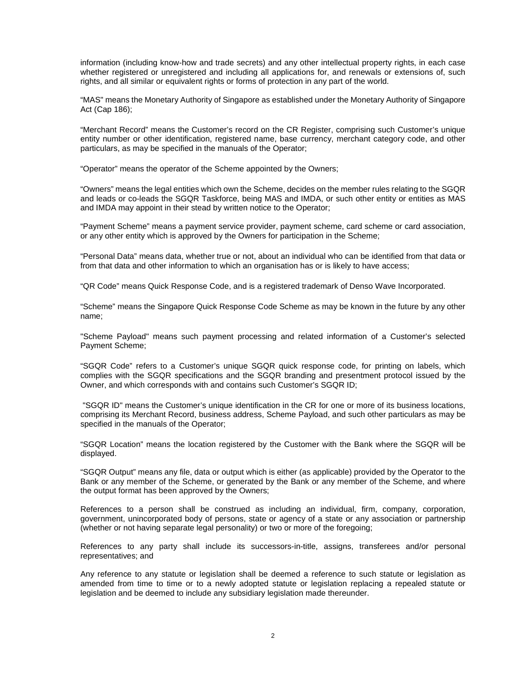information (including know-how and trade secrets) and any other intellectual property rights, in each case whether registered or unregistered and including all applications for, and renewals or extensions of, such rights, and all similar or equivalent rights or forms of protection in any part of the world.

"MAS" means the Monetary Authority of Singapore as established under the Monetary Authority of Singapore Act (Cap 186);

"Merchant Record" means the Customer's record on the CR Register, comprising such Customer's unique entity number or other identification, registered name, base currency, merchant category code, and other particulars, as may be specified in the manuals of the Operator;

"Operator" means the operator of the Scheme appointed by the Owners;

"Owners" means the legal entities which own the Scheme, decides on the member rules relating to the SGQR and leads or co-leads the SGQR Taskforce, being MAS and IMDA, or such other entity or entities as MAS and IMDA may appoint in their stead by written notice to the Operator;

"Payment Scheme" means a payment service provider, payment scheme, card scheme or card association, or any other entity which is approved by the Owners for participation in the Scheme;

"Personal Data" means data, whether true or not, about an individual who can be identified from that data or from that data and other information to which an organisation has or is likely to have access;

"QR Code" means Quick Response Code, and is a registered trademark of Denso Wave Incorporated.

"Scheme" means the Singapore Quick Response Code Scheme as may be known in the future by any other name;

"Scheme Payload" means such payment processing and related information of a Customer's selected Payment Scheme;

"SGQR Code" refers to a Customer's unique SGQR quick response code, for printing on labels, which complies with the SGQR specifications and the SGQR branding and presentment protocol issued by the Owner, and which corresponds with and contains such Customer's SGQR ID;

 "SGQR ID" means the Customer's unique identification in the CR for one or more of its business locations, comprising its Merchant Record, business address, Scheme Payload, and such other particulars as may be specified in the manuals of the Operator;

"SGQR Location" means the location registered by the Customer with the Bank where the SGQR will be displayed.

"SGQR Output" means any file, data or output which is either (as applicable) provided by the Operator to the Bank or any member of the Scheme, or generated by the Bank or any member of the Scheme, and where the output format has been approved by the Owners;

References to a person shall be construed as including an individual, firm, company, corporation, government, unincorporated body of persons, state or agency of a state or any association or partnership (whether or not having separate legal personality) or two or more of the foregoing;

References to any party shall include its successors-in-title, assigns, transferees and/or personal representatives; and

Any reference to any statute or legislation shall be deemed a reference to such statute or legislation as amended from time to time or to a newly adopted statute or legislation replacing a repealed statute or legislation and be deemed to include any subsidiary legislation made thereunder.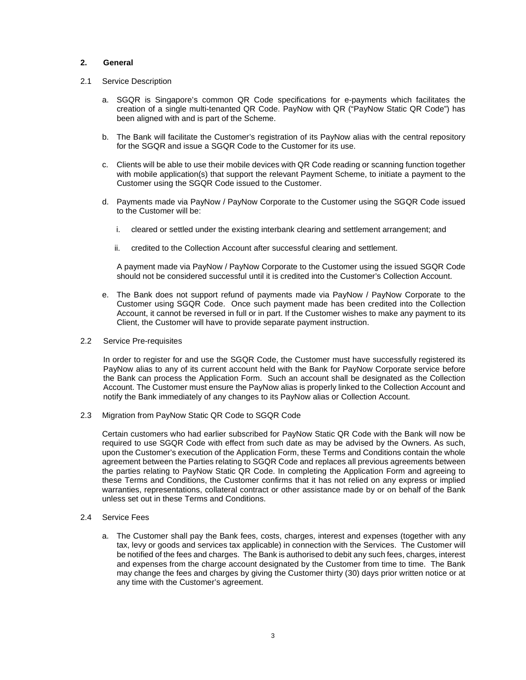#### **2. General**

- 2.1 Service Description
	- a. SGQR is Singapore's common QR Code specifications for e-payments which facilitates the creation of a single multi-tenanted QR Code. PayNow with QR ("PayNow Static QR Code") has been aligned with and is part of the Scheme.
	- b. The Bank will facilitate the Customer's registration of its PayNow alias with the central repository for the SGQR and issue a SGQR Code to the Customer for its use.
	- c. Clients will be able to use their mobile devices with QR Code reading or scanning function together with mobile application(s) that support the relevant Payment Scheme, to initiate a payment to the Customer using the SGQR Code issued to the Customer.
	- d. Payments made via PayNow / PayNow Corporate to the Customer using the SGQR Code issued to the Customer will be:
		- i. cleared or settled under the existing interbank clearing and settlement arrangement; and
		- ii. credited to the Collection Account after successful clearing and settlement.

A payment made via PayNow / PayNow Corporate to the Customer using the issued SGQR Code should not be considered successful until it is credited into the Customer's Collection Account.

- e. The Bank does not support refund of payments made via PayNow / PayNow Corporate to the Customer using SGQR Code. Once such payment made has been credited into the Collection Account, it cannot be reversed in full or in part. If the Customer wishes to make any payment to its Client, the Customer will have to provide separate payment instruction.
- 2.2 Service Pre-requisites

In order to register for and use the SGQR Code, the Customer must have successfully registered its PayNow alias to any of its current account held with the Bank for PayNow Corporate service before the Bank can process the Application Form. Such an account shall be designated as the Collection Account. The Customer must ensure the PayNow alias is properly linked to the Collection Account and notify the Bank immediately of any changes to its PayNow alias or Collection Account.

2.3 Migration from PayNow Static QR Code to SGQR Code

Certain customers who had earlier subscribed for PayNow Static QR Code with the Bank will now be required to use SGQR Code with effect from such date as may be advised by the Owners. As such, upon the Customer's execution of the Application Form, these Terms and Conditions contain the whole agreement between the Parties relating to SGQR Code and replaces all previous agreements between the parties relating to PayNow Static QR Code. In completing the Application Form and agreeing to these Terms and Conditions, the Customer confirms that it has not relied on any express or implied warranties, representations, collateral contract or other assistance made by or on behalf of the Bank unless set out in these Terms and Conditions.

- 2.4 Service Fees
	- a. The Customer shall pay the Bank fees, costs, charges, interest and expenses (together with any tax, levy or goods and services tax applicable) in connection with the Services. The Customer will be notified of the fees and charges. The Bank is authorised to debit any such fees, charges, interest and expenses from the charge account designated by the Customer from time to time. The Bank may change the fees and charges by giving the Customer thirty (30) days prior written notice or at any time with the Customer's agreement.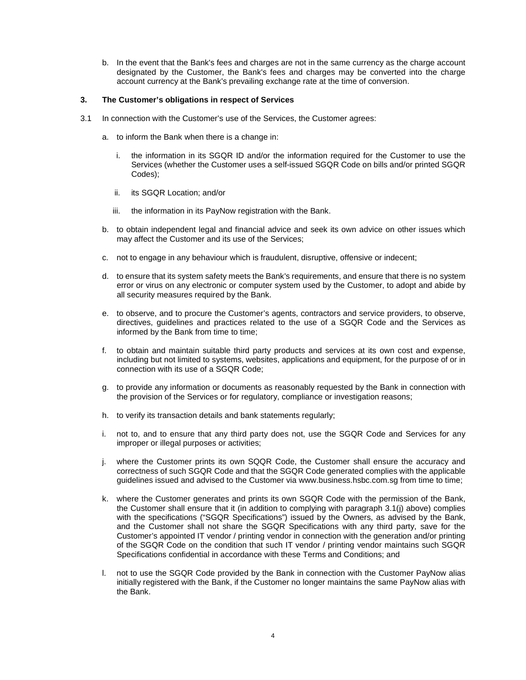b. In the event that the Bank's fees and charges are not in the same currency as the charge account designated by the Customer, the Bank's fees and charges may be converted into the charge account currency at the Bank's prevailing exchange rate at the time of conversion.

### **3. The Customer's obligations in respect of Services**

- 3.1 In connection with the Customer's use of the Services, the Customer agrees:
	- a. to inform the Bank when there is a change in:
		- i. the information in its SGQR ID and/or the information required for the Customer to use the Services (whether the Customer uses a self-issued SGQR Code on bills and/or printed SGQR Codes);
		- ii. its SGQR Location; and/or
		- iii. the information in its PayNow registration with the Bank.
	- b. to obtain independent legal and financial advice and seek its own advice on other issues which may affect the Customer and its use of the Services;
	- c. not to engage in any behaviour which is fraudulent, disruptive, offensive or indecent;
	- d. to ensure that its system safety meets the Bank's requirements, and ensure that there is no system error or virus on any electronic or computer system used by the Customer, to adopt and abide by all security measures required by the Bank.
	- e. to observe, and to procure the Customer's agents, contractors and service providers, to observe, directives, guidelines and practices related to the use of a SGQR Code and the Services as informed by the Bank from time to time;
	- f. to obtain and maintain suitable third party products and services at its own cost and expense, including but not limited to systems, websites, applications and equipment, for the purpose of or in connection with its use of a SGQR Code;
	- g. to provide any information or documents as reasonably requested by the Bank in connection with the provision of the Services or for regulatory, compliance or investigation reasons;
	- h. to verify its transaction details and bank statements regularly;
	- i. not to, and to ensure that any third party does not, use the SGQR Code and Services for any improper or illegal purposes or activities;
	- j. where the Customer prints its own SQQR Code, the Customer shall ensure the accuracy and correctness of such SGQR Code and that the SGQR Code generated complies with the applicable guidelines issued and advised to the Customer via www.business.hsbc.com.sg from time to time;
	- k. where the Customer generates and prints its own SGQR Code with the permission of the Bank, the Customer shall ensure that it (in addition to complying with paragraph 3.1(j) above) complies with the specifications ("SGQR Specifications") issued by the Owners, as advised by the Bank, and the Customer shall not share the SGQR Specifications with any third party, save for the Customer's appointed IT vendor / printing vendor in connection with the generation and/or printing of the SGQR Code on the condition that such IT vendor / printing vendor maintains such SGQR Specifications confidential in accordance with these Terms and Conditions; and
	- l. not to use the SGQR Code provided by the Bank in connection with the Customer PayNow alias initially registered with the Bank, if the Customer no longer maintains the same PayNow alias with the Bank.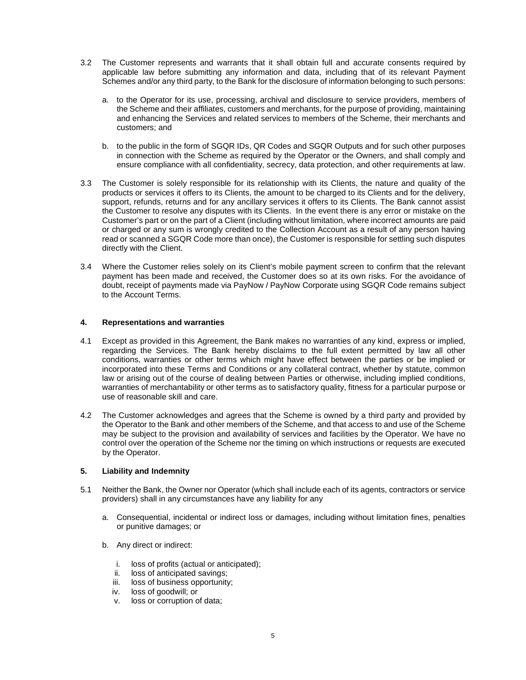- 3.2 The Customer represents and warrants that it shall obtain full and accurate consents required by applicable law before submitting any information and data, including that of its relevant Payment Schemes and/or any third party, to the Bank for the disclosure of information belonging to such persons:
	- a. to the Operator for its use, processing, archival and disclosure to service providers, members of the Scheme and their affiliates, customers and merchants, for the purpose of providing, maintaining and enhancing the Services and related services to members of the Scheme, their merchants and customers; and
	- b. to the public in the form of SGQR IDs, QR Codes and SGQR Outputs and for such other purposes in connection with the Scheme as required by the Operator or the Owners, and shall comply and ensure compliance with all confidentiality, secrecy, data protection, and other requirements at law.
- 3.3 The Customer is solely responsible for its relationship with its Clients, the nature and quality of the products or services it offers to its Clients, the amount to be charged to its Clients and for the delivery, support, refunds, returns and for any ancillary services it offers to its Clients. The Bank cannot assist the Customer to resolve any disputes with its Clients. In the event there is any error or mistake on the Customer's part or on the part of a Client (including without limitation, where incorrect amounts are paid or charged or any sum is wrongly credited to the Collection Account as a result of any person having read or scanned a SGQR Code more than once), the Customer is responsible for settling such disputes directly with the Client.
- 3.4 Where the Customer relies solely on its Client's mobile payment screen to confirm that the relevant payment has been made and received, the Customer does so at its own risks. For the avoidance of doubt, receipt of payments made via PayNow / PayNow Corporate using SGQR Code remains subject to the Account Terms.

# **4. Representations and warranties**

- 4.1 Except as provided in this Agreement, the Bank makes no warranties of any kind, express or implied, regarding the Services. The Bank hereby disclaims to the full extent permitted by law all other conditions, warranties or other terms which might have effect between the parties or be implied or incorporated into these Terms and Conditions or any collateral contract, whether by statute, common law or arising out of the course of dealing between Parties or otherwise, including implied conditions, warranties of merchantability or other terms as to satisfactory quality, fitness for a particular purpose or use of reasonable skill and care.
- 4.2 The Customer acknowledges and agrees that the Scheme is owned by a third party and provided by the Operator to the Bank and other members of the Scheme, and that access to and use of the Scheme may be subject to the provision and availability of services and facilities by the Operator. We have no control over the operation of the Scheme nor the timing on which instructions or requests are executed by the Operator.

#### **5. Liability and Indemnity**

- 5.1 Neither the Bank, the Owner nor Operator (which shall include each of its agents, contractors or service providers) shall in any circumstances have any liability for any
	- a. Consequential, incidental or indirect loss or damages, including without limitation fines, penalties or punitive damages; or
	- b. Any direct or indirect:
		- i. loss of profits (actual or anticipated);
		- ii. loss of anticipated savings;
		- iii. loss of business opportunity;
		- iv. loss of goodwill; or
		- v. loss or corruption of data;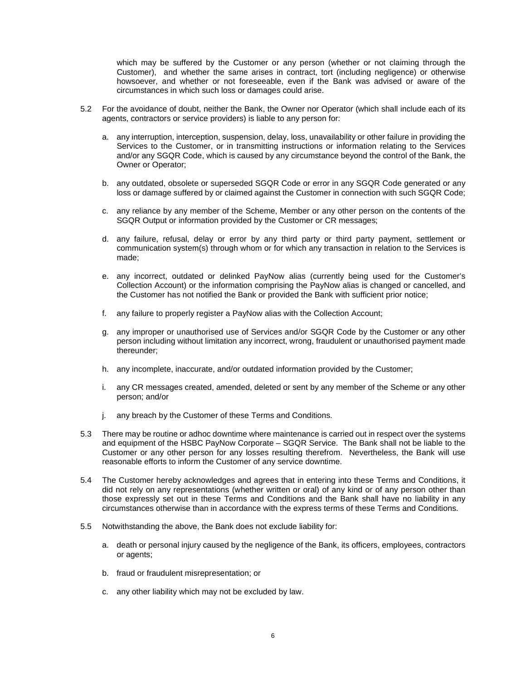which may be suffered by the Customer or any person (whether or not claiming through the Customer), and whether the same arises in contract, tort (including negligence) or otherwise howsoever, and whether or not foreseeable, even if the Bank was advised or aware of the circumstances in which such loss or damages could arise.

- 5.2 For the avoidance of doubt, neither the Bank, the Owner nor Operator (which shall include each of its agents, contractors or service providers) is liable to any person for:
	- a. any interruption, interception, suspension, delay, loss, unavailability or other failure in providing the Services to the Customer, or in transmitting instructions or information relating to the Services and/or any SGQR Code, which is caused by any circumstance beyond the control of the Bank, the Owner or Operator;
	- b. any outdated, obsolete or superseded SGQR Code or error in any SGQR Code generated or any loss or damage suffered by or claimed against the Customer in connection with such SGQR Code;
	- c. any reliance by any member of the Scheme, Member or any other person on the contents of the SGQR Output or information provided by the Customer or CR messages;
	- d. any failure, refusal, delay or error by any third party or third party payment, settlement or communication system(s) through whom or for which any transaction in relation to the Services is made;
	- e. any incorrect, outdated or delinked PayNow alias (currently being used for the Customer's Collection Account) or the information comprising the PayNow alias is changed or cancelled, and the Customer has not notified the Bank or provided the Bank with sufficient prior notice;
	- f. any failure to properly register a PayNow alias with the Collection Account;
	- g. any improper or unauthorised use of Services and/or SGQR Code by the Customer or any other person including without limitation any incorrect, wrong, fraudulent or unauthorised payment made thereunder;
	- h. any incomplete, inaccurate, and/or outdated information provided by the Customer;
	- i. any CR messages created, amended, deleted or sent by any member of the Scheme or any other person; and/or
	- j. any breach by the Customer of these Terms and Conditions.
- 5.3 There may be routine or adhoc downtime where maintenance is carried out in respect over the systems and equipment of the HSBC PayNow Corporate – SGQR Service. The Bank shall not be liable to the Customer or any other person for any losses resulting therefrom. Nevertheless, the Bank will use reasonable efforts to inform the Customer of any service downtime.
- 5.4 The Customer hereby acknowledges and agrees that in entering into these Terms and Conditions, it did not rely on any representations (whether written or oral) of any kind or of any person other than those expressly set out in these Terms and Conditions and the Bank shall have no liability in any circumstances otherwise than in accordance with the express terms of these Terms and Conditions.
- 5.5 Notwithstanding the above, the Bank does not exclude liability for:
	- a. death or personal injury caused by the negligence of the Bank, its officers, employees, contractors or agents;
	- b. fraud or fraudulent misrepresentation; or
	- c. any other liability which may not be excluded by law.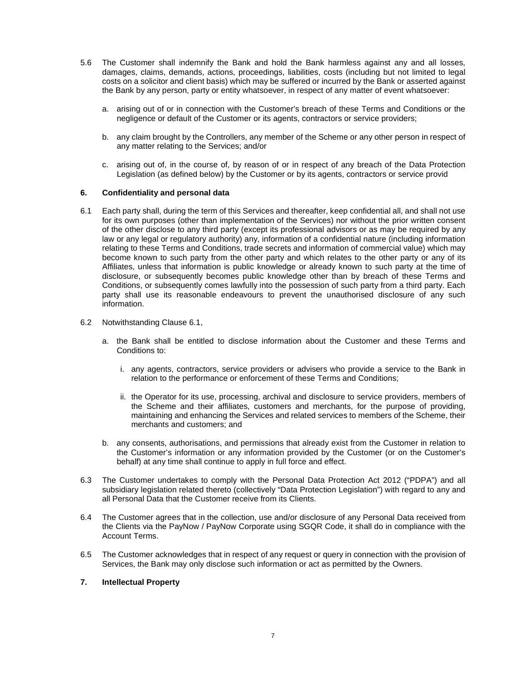- 5.6 The Customer shall indemnify the Bank and hold the Bank harmless against any and all losses, damages, claims, demands, actions, proceedings, liabilities, costs (including but not limited to legal costs on a solicitor and client basis) which may be suffered or incurred by the Bank or asserted against the Bank by any person, party or entity whatsoever, in respect of any matter of event whatsoever:
	- a. arising out of or in connection with the Customer's breach of these Terms and Conditions or the negligence or default of the Customer or its agents, contractors or service providers;
	- b. any claim brought by the Controllers, any member of the Scheme or any other person in respect of any matter relating to the Services; and/or
	- c. arising out of, in the course of, by reason of or in respect of any breach of the Data Protection Legislation (as defined below) by the Customer or by its agents, contractors or service provid

#### **6. Confidentiality and personal data**

- 6.1 Each party shall, during the term of this Services and thereafter, keep confidential all, and shall not use for its own purposes (other than implementation of the Services) nor without the prior written consent of the other disclose to any third party (except its professional advisors or as may be required by any law or any legal or regulatory authority) any, information of a confidential nature (including information relating to these Terms and Conditions, trade secrets and information of commercial value) which may become known to such party from the other party and which relates to the other party or any of its Affiliates, unless that information is public knowledge or already known to such party at the time of disclosure, or subsequently becomes public knowledge other than by breach of these Terms and Conditions, or subsequently comes lawfully into the possession of such party from a third party. Each party shall use its reasonable endeavours to prevent the unauthorised disclosure of any such information.
- 6.2 Notwithstanding Clause 6.1,
	- a. the Bank shall be entitled to disclose information about the Customer and these Terms and Conditions to:
		- i. any agents, contractors, service providers or advisers who provide a service to the Bank in relation to the performance or enforcement of these Terms and Conditions;
		- ii. the Operator for its use, processing, archival and disclosure to service providers, members of the Scheme and their affiliates, customers and merchants, for the purpose of providing, maintaining and enhancing the Services and related services to members of the Scheme, their merchants and customers; and
	- b. any consents, authorisations, and permissions that already exist from the Customer in relation to the Customer's information or any information provided by the Customer (or on the Customer's behalf) at any time shall continue to apply in full force and effect.
- 6.3 The Customer undertakes to comply with the Personal Data Protection Act 2012 ("PDPA") and all subsidiary legislation related thereto (collectively "Data Protection Legislation") with regard to any and all Personal Data that the Customer receive from its Clients.
- 6.4 The Customer agrees that in the collection, use and/or disclosure of any Personal Data received from the Clients via the PayNow / PayNow Corporate using SGQR Code, it shall do in compliance with the Account Terms.
- 6.5 The Customer acknowledges that in respect of any request or query in connection with the provision of Services, the Bank may only disclose such information or act as permitted by the Owners.

#### **7. Intellectual Property**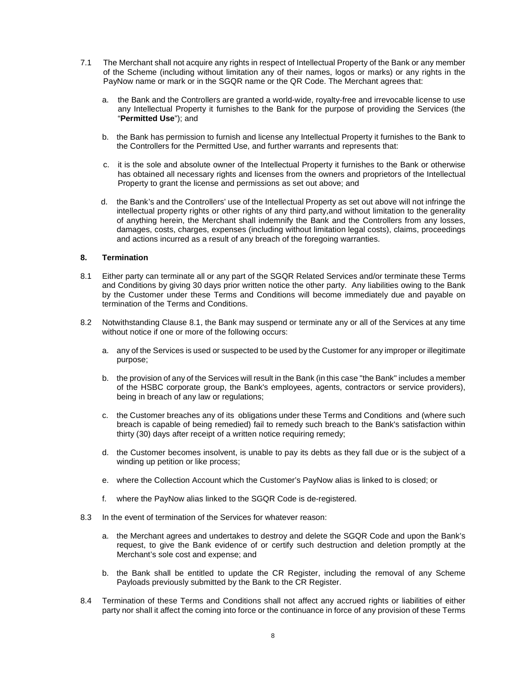- 7.1 The Merchant shall not acquire any rights in respect of Intellectual Property of the Bank or any member of the Scheme (including without limitation any of their names, logos or marks) or any rights in the PayNow name or mark or in the SGQR name or the QR Code. The Merchant agrees that:
	- a. the Bank and the Controllers are granted a world-wide, royalty-free and irrevocable license to use any Intellectual Property it furnishes to the Bank for the purpose of providing the Services (the "**Permitted Use**"); and
	- b. the Bank has permission to furnish and license any Intellectual Property it furnishes to the Bank to the Controllers for the Permitted Use, and further warrants and represents that:
	- c. it is the sole and absolute owner of the Intellectual Property it furnishes to the Bank or otherwise has obtained all necessary rights and licenses from the owners and proprietors of the Intellectual Property to grant the license and permissions as set out above; and
	- d. the Bank's and the Controllers' use of the Intellectual Property as set out above will not infringe the intellectual property rights or other rights of any third party,and without limitation to the generality of anything herein, the Merchant shall indemnify the Bank and the Controllers from any losses, damages, costs, charges, expenses (including without limitation legal costs), claims, proceedings and actions incurred as a result of any breach of the foregoing warranties.

# **8. Termination**

- 8.1 Either party can terminate all or any part of the SGQR Related Services and/or terminate these Terms and Conditions by giving 30 days prior written notice the other party. Any liabilities owing to the Bank by the Customer under these Terms and Conditions will become immediately due and payable on termination of the Terms and Conditions.
- 8.2 Notwithstanding Clause 8.1, the Bank may suspend or terminate any or all of the Services at any time without notice if one or more of the following occurs:
	- a. any of the Services is used or suspected to be used by the Customer for any improper or illegitimate purpose;
	- b. the provision of any of the Services will result in the Bank (in this case "the Bank" includes a member of the HSBC corporate group, the Bank's employees, agents, contractors or service providers), being in breach of any law or regulations;
	- c. the Customer breaches any of its obligations under these Terms and Conditions and (where such breach is capable of being remedied) fail to remedy such breach to the Bank's satisfaction within thirty (30) days after receipt of a written notice requiring remedy;
	- d. the Customer becomes insolvent, is unable to pay its debts as they fall due or is the subject of a winding up petition or like process;
	- e. where the Collection Account which the Customer's PayNow alias is linked to is closed; or
	- f. where the PayNow alias linked to the SGQR Code is de-registered.
- 8.3 In the event of termination of the Services for whatever reason:
	- a. the Merchant agrees and undertakes to destroy and delete the SGQR Code and upon the Bank's request, to give the Bank evidence of or certify such destruction and deletion promptly at the Merchant's sole cost and expense; and
	- b. the Bank shall be entitled to update the CR Register, including the removal of any Scheme Payloads previously submitted by the Bank to the CR Register.
- 8.4 Termination of these Terms and Conditions shall not affect any accrued rights or liabilities of either party nor shall it affect the coming into force or the continuance in force of any provision of these Terms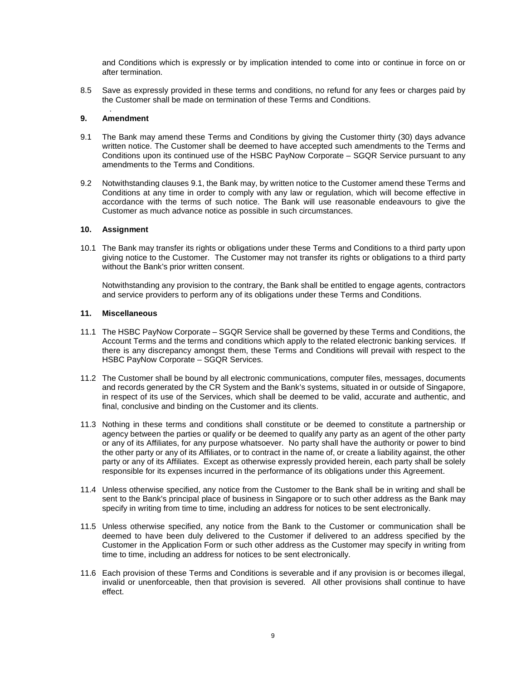and Conditions which is expressly or by implication intended to come into or continue in force on or after termination.

8.5 Save as expressly provided in these terms and conditions, no refund for any fees or charges paid by the Customer shall be made on termination of these Terms and Conditions.

#### . **9. Amendment**

- 9.1 The Bank may amend these Terms and Conditions by giving the Customer thirty (30) days advance written notice. The Customer shall be deemed to have accepted such amendments to the Terms and Conditions upon its continued use of the HSBC PayNow Corporate – SGQR Service pursuant to any amendments to the Terms and Conditions.
- 9.2 Notwithstanding clauses 9.1, the Bank may, by written notice to the Customer amend these Terms and Conditions at any time in order to comply with any law or regulation, which will become effective in accordance with the terms of such notice. The Bank will use reasonable endeavours to give the Customer as much advance notice as possible in such circumstances.

#### **10. Assignment**

10.1 The Bank may transfer its rights or obligations under these Terms and Conditions to a third party upon giving notice to the Customer. The Customer may not transfer its rights or obligations to a third party without the Bank's prior written consent.

Notwithstanding any provision to the contrary, the Bank shall be entitled to engage agents, contractors and service providers to perform any of its obligations under these Terms and Conditions.

#### **11. Miscellaneous**

- 11.1 The HSBC PayNow Corporate SGQR Service shall be governed by these Terms and Conditions, the Account Terms and the terms and conditions which apply to the related electronic banking services. If there is any discrepancy amongst them, these Terms and Conditions will prevail with respect to the HSBC PayNow Corporate – SGQR Services.
- 11.2 The Customer shall be bound by all electronic communications, computer files, messages, documents and records generated by the CR System and the Bank's systems, situated in or outside of Singapore, in respect of its use of the Services, which shall be deemed to be valid, accurate and authentic, and final, conclusive and binding on the Customer and its clients.
- 11.3 Nothing in these terms and conditions shall constitute or be deemed to constitute a partnership or agency between the parties or qualify or be deemed to qualify any party as an agent of the other party or any of its Affiliates, for any purpose whatsoever. No party shall have the authority or power to bind the other party or any of its Affiliates, or to contract in the name of, or create a liability against, the other party or any of its Affiliates. Except as otherwise expressly provided herein, each party shall be solely responsible for its expenses incurred in the performance of its obligations under this Agreement.
- 11.4 Unless otherwise specified, any notice from the Customer to the Bank shall be in writing and shall be sent to the Bank's principal place of business in Singapore or to such other address as the Bank may specify in writing from time to time, including an address for notices to be sent electronically.
- 11.5 Unless otherwise specified, any notice from the Bank to the Customer or communication shall be deemed to have been duly delivered to the Customer if delivered to an address specified by the Customer in the Application Form or such other address as the Customer may specify in writing from time to time, including an address for notices to be sent electronically.
- 11.6 Each provision of these Terms and Conditions is severable and if any provision is or becomes illegal, invalid or unenforceable, then that provision is severed. All other provisions shall continue to have effect.